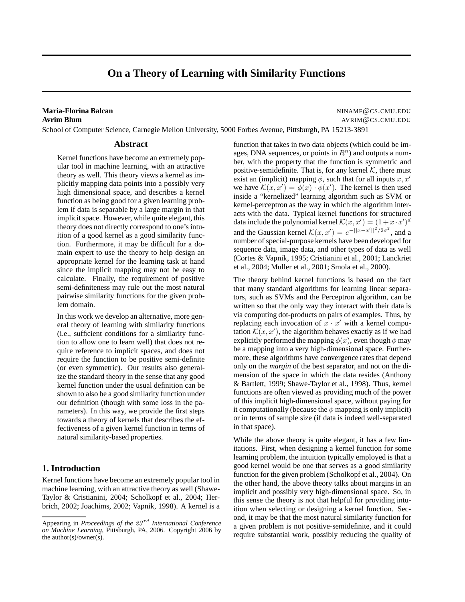# **On a Theory of Learning with Similarity Functions**

### **Maria-Florina Balcan** Ninameters and the settlement of the settlement of the settlement of the settlement of the set **Avrim Blum** Avenue and Avenue and Avenue and Avenue and Avenue and Avenue and Avenue and Avenue and Avenue and Avenue and Avenue and Avenue and Avenue and Avenue and Avenue and Avenue and Avenue and Avenue and Avenue and

School of Computer Science, Carnegie Mellon University, 5000 Forbes Avenue, Pittsburgh, PA 15213-3891

#### **Abstract**

Kernel functions have become an extremely popular tool in machine learning, with an attractive theory as well. This theory views a kernel as implicitly mapping data points into a possibly very high dimensional space, and describes a kernel function as being good for a given learning problem if data is separable by a large margin in that implicit space. However, while quite elegant, this theory does not directly correspond to one's intuition of a good kernel as a good similarity function. Furthermore, it may be difficult for a domain expert to use the theory to help design an appropriate kernel for the learning task at hand since the implicit mapping may not be easy to calculate. Finally, the requirement of positive semi-definiteness may rule out the most natural pairwise similarity functions for the given problem domain.

In this work we develop an alternative, more general theory of learning with similarity functions (i.e., sufficient conditions for a similarity function to allow one to learn well) that does not require reference to implicit spaces, and does not require the function to be positive semi-definite (or even symmetric). Our results also generalize the standard theory in the sense that any good kernel function under the usual definition can be shown to also be a good similarity function under our definition (though with some loss in the parameters). In this way, we provide the first steps towards a theory of kernels that describes the effectiveness of a given kernel function in terms of natural similarity-based properties.

# **1. Introduction**

Kernel functions have become an extremely popular tool in machine learning, with an attractive theory as well (Shawe-Taylor & Cristianini, 2004; Scholkopf et al., 2004; Herbrich, 2002; Joachims, 2002; Vapnik, 1998). A kernel is a function that takes in two data objects (which could be images, DNA sequences, or points in  $\mathbb{R}^n$ ) and outputs a number, with the property that the function is symmetric and positive-semidefinite. That is, for any kernel  $K$ , there must exist an (implicit) mapping  $\phi$ , such that for all inputs x, x' we have  $\mathcal{K}(x, x') = \phi(x) \cdot \phi(x')$ . The kernel is then used inside a "kernelized" learning algorithm such as SVM or kernel-perceptron as the way in which the algorithm interacts with the data. Typical kernel functions for structured data include the polynomial kernel  $\mathcal{K}(x, x') = (1 + x \cdot x')^d$ and the Gaussian kernel  $\mathcal{K}(x, x') = e^{-||x-x'||^2/2\sigma^2}$ , and a number of special-purpose kernels have been developed for sequence data, image data, and other types of data as well (Cortes & Vapnik, 1995; Cristianini et al., 2001; Lanckriet et al., 2004; Muller et al., 2001; Smola et al., 2000).

The theory behind kernel functions is based on the fact that many standard algorithms for learning linear separators, such as SVMs and the Perceptron algorithm, can be written so that the only way they interact with their data is via computing dot-products on pairs of examples. Thus, by replacing each invocation of  $x \cdot x'$  with a kernel computation  $\mathcal{K}(x, x')$ , the algorithm behaves exactly as if we had explicitly performed the mapping  $\phi(x)$ , even though  $\phi$  may be a mapping into a very high-dimensional space. Furthermore, these algorithms have convergence rates that depend only on the *margin* of the best separator, and not on the dimension of the space in which the data resides (Anthony & Bartlett, 1999; Shawe-Taylor et al., 1998). Thus, kernel functions are often viewed as providing much of the power of this implicit high-dimensional space, without paying for it computationally (because the  $\phi$  mapping is only implicit) or in terms of sample size (if data is indeed well-separated in that space).

While the above theory is quite elegant, it has a few limitations. First, when designing a kernel function for some learning problem, the intuition typically employed is that a good kernel would be one that serves as a good similarity function for the given problem (Scholkopf et al., 2004). On the other hand, the above theory talks about margins in an implicit and possibly very high-dimensional space. So, in this sense the theory is not that helpful for providing intuition when selecting or designing a kernel function. Second, it may be that the most natural similarity function for a given problem is not positive-semidefinite, and it could require substantial work, possibly reducing the quality of

Appearing in *Proceedings of the 23<sup>rd</sup> International Conference on Machine Learning*, Pittsburgh, PA, 2006. Copyright 2006 by the author( $s$ )/owner( $s$ ).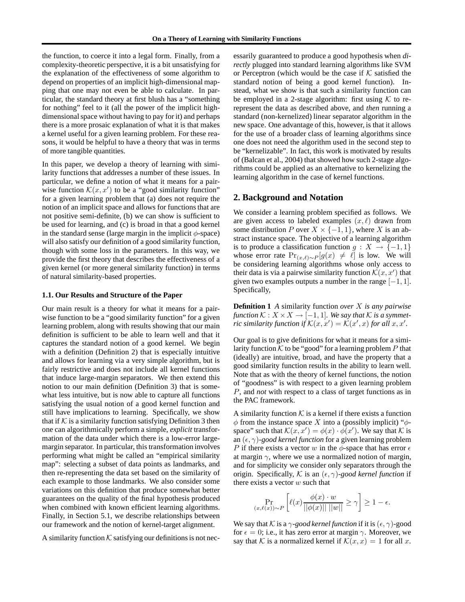the function, to coerce it into a legal form. Finally, from a complexity-theoretic perspective, it is a bit unsatisfying for the explanation of the effectiveness of some algorithm to depend on properties of an implicit high-dimensional mapping that one may not even be able to calculate. In particular, the standard theory at first blush has a "something for nothing" feel to it (all the power of the implicit highdimensional space without having to pay for it) and perhaps there is a more prosaic explanation of what it is that makes a kernel useful for a given learning problem. For these reasons, it would be helpful to have a theory that was in terms of more tangible quantities.

In this paper, we develop a theory of learning with similarity functions that addresses a number of these issues. In particular, we define a notion of what it means for a pairwise function  $\mathcal{K}(x, x')$  to be a "good similarity function" for a given learning problem that (a) does not require the notion of an implicit space and allows for functions that are not positive semi-definite, (b) we can show is sufficient to be used for learning, and (c) is broad in that a good kernel in the standard sense (large margin in the implicit  $\phi$ -space) will also satisfy our definition of a good similarity function, though with some loss in the parameters. In this way, we provide the first theory that describes the effectiveness of a given kernel (or more general similarity function) in terms of natural similarity-based properties.

#### **1.1. Our Results and Structure of the Paper**

Our main result is a theory for what it means for a pairwise function to be a "good similarity function" for a given learning problem, along with results showing that our main definition is sufficient to be able to learn well and that it captures the standard notion of a good kernel. We begin with a definition (Definition 2) that is especially intuitive and allows for learning via a very simple algorithm, but is fairly restrictive and does not include all kernel functions that induce large-margin separators. We then extend this notion to our main definition (Definition 3) that is somewhat less intuitive, but is now able to capture all functions satisfying the usual notion of a good kernel function and still have implications to learning. Specifically, we show that if  $K$  is a similarity function satisfying Definition 3 then one can algorithmically perform a simple, *explicit* transformation of the data under which there is a low-error largemargin separator. In particular, this transformation involves performing what might be called an "empirical similarity map": selecting a subset of data points as landmarks, and then re-representing the data set based on the similarity of each example to those landmarks. We also consider some variations on this definition that produce somewhat better guarantees on the quality of the final hypothesis produced when combined with known efficient learning algorithms. Finally, in Section 5.1, we describe relationships between our framework and the notion of kernel-target alignment.

A similarity function  $K$  satisfying our definitions is not nec-

essarily guaranteed to produce a good hypothesis when *directly* plugged into standard learning algorithms like SVM or Perceptron (which would be the case if  $K$  satisfied the standard notion of being a good kernel function). Instead, what we show is that such a similarity function can be employed in a 2-stage algorithm: first using  $K$  to rerepresent the data as described above, and *then* running a standard (non-kernelized) linear separator algorithm in the new space. One advantage of this, however, is that it allows for the use of a broader class of learning algorithms since one does not need the algorithm used in the second step to be "kernelizable". In fact, this work is motivated by results of (Balcan et al., 2004) that showed how such 2-stage algorithms could be applied as an alternative to kernelizing the learning algorithm in the case of kernel functions.

### **2. Background and Notation**

We consider a learning problem specified as follows. We are given access to labeled examples  $(x, \ell)$  drawn from some distribution P over  $X \times \{-1, 1\}$ , where X is an abstract instance space. The objective of a learning algorithm is to produce a classification function  $g: X \to \{-1, 1\}$ whose error rate  $Pr_{(x,\ell)\sim P}[g(x) \neq \ell]$  is low. We will be considering learning algorithms whose only access to their data is via a pairwise similarity function  $\mathcal{K}(x, x')$  that given two examples outputs a number in the range  $[-1, 1]$ . Specifically,

**Definition 1** *A* similarity function *over* X *is any pairwise function*  $K: X \times X \rightarrow [-1, 1]$ *. We say that* K *is a symmetric similarity function if*  $\mathcal{K}(x, x') = \mathcal{K}(x', x)$  *for all*  $x, x'.$ 

Our goal is to give definitions for what it means for a similarity function K to be "good" for a learning problem P that (ideally) are intuitive, broad, and have the property that a good similarity function results in the ability to learn well. Note that as with the theory of kernel functions, the notion of "goodness" is with respect to a given learning problem P, and *not* with respect to a class of target functions as in the PAC framework.

A similarity function  $K$  is a kernel if there exists a function  $\phi$  from the instance space X into a (possibly implicit) " $\phi$ space" such that  $\mathcal{K}(x, x') = \phi(x) \cdot \phi(x')$ . We say that  $\mathcal K$  is an  $(\epsilon, \gamma)$ -good kernel function for a given learning problem P if there exists a vector w in the  $\phi$ -space that has error  $\epsilon$ at margin  $\gamma$ , where we use a normalized notion of margin, and for simplicity we consider only separators through the origin. Specifically, K is an  $(\epsilon, \gamma)$ -good kernel function if there exists a vector  $w$  such that

$$
\Pr_{(x,\ell(x))\sim P}\left[\ell(x)\frac{\phi(x)\cdot w}{||\phi(x)||\;||w||}\geq \gamma\right]\geq 1-\epsilon.
$$

We say that K is a  $\gamma$ -good kernel function if it is  $(\epsilon, \gamma)$ -good for  $\epsilon = 0$ ; i.e., it has zero error at margin  $\gamma$ . Moreover, we say that K is a normalized kernel if  $\mathcal{K}(x, x) = 1$  for all x.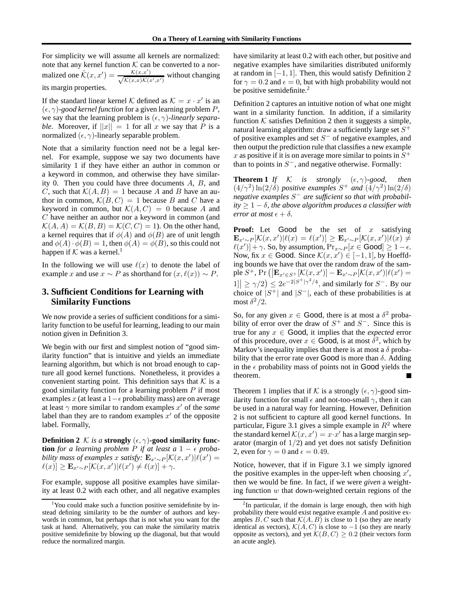For simplicity we will assume all kernels are normalized: note that any kernel function  $K$  can be converted to a normalized one  $\hat{\mathcal{K}}(x, x') = \frac{\mathcal{K}(x, x')}{\sqrt{\mathcal{K}(x, x)\mathcal{K}(x)}}$  $\frac{\mathcal{K}(x,x)}{\mathcal{K}(x,x)\mathcal{K}(x',x')}$  without changing its margin properties.

If the standard linear kernel K defined as  $K = x \cdot x'$  is an  $(\epsilon, \gamma)$ -good kernel function for a given learning problem P, we say that the learning problem is  $(\epsilon, \gamma)$ *-linearly separable.* Moreover, if  $||x|| = 1$  for all x we say that P is a normalized  $(\epsilon, \gamma)$ -linearly separable problem.

Note that a similarity function need not be a legal kernel. For example, suppose we say two documents have similarity 1 if they have either an author in common or a keyword in common, and otherwise they have similarity 0. Then you could have three documents A, B, and C, such that  $\mathcal{K}(A, B) = 1$  because A and B have an author in common,  $\mathcal{K}(B, C) = 1$  because B and C have a keyword in common, but  $\mathcal{K}(A, C) = 0$  because A and C have neither an author nor a keyword in common (and  $\mathcal{K}(A, A) = \mathcal{K}(B, B) = \mathcal{K}(C, C) = 1$ . On the other hand, a kernel requires that if  $\phi(A)$  and  $\phi(B)$  are of unit length and  $\phi(A) \cdot \phi(B) = 1$ , then  $\phi(A) = \phi(B)$ , so this could not happen if  $K$  was a kernel.<sup>1</sup>

In the following we will use  $\ell(x)$  to denote the label of example x and use  $x \sim P$  as shorthand for  $(x, \ell(x)) \sim P$ .

# **3. Sufficient Conditions for Learning with Similarity Functions**

We now provide a series of sufficient conditions for a similarity function to be useful for learning, leading to our main notion given in Definition 3.

We begin with our first and simplest notion of "good similarity function" that is intuitive and yields an immediate learning algorithm, but which is not broad enough to capture all good kernel functions. Nonetheless, it provides a convenient starting point. This definition says that  $K$  is a good similarity function for a learning problem  $P$  if most examples x (at least a 1 $-\epsilon$  probability mass) are on average at least  $\gamma$  more similar to random examples  $x'$  of the *same* label than they are to random examples  $x'$  of the opposite label. Formally,

**Definition 2** K *is a* **strongly**  $(\epsilon, \gamma)$ -good **similarity** func**tion** *for a learning problem*  $P$  *if at least a*  $1 - \epsilon$  *probability mass of examples* x *satisfy:*  $\mathbf{E}_{x' \sim P}[\mathcal{K}(x, x')] \hat{\ell}(x') =$  $\ell(x) \le \mathbf{E}_{x' \sim P} [\mathcal{K}(x, x') | \ell(x') \ne \ell(x)] + \gamma.$ 

For example, suppose all positive examples have similarity at least 0.2 with each other, and all negative examples have similarity at least 0.2 with each other, but positive and negative examples have similarities distributed uniformly at random in  $[-1, 1]$ . Then, this would satisfy Definition 2 for  $\gamma = 0.2$  and  $\epsilon = 0$ , but with high probability would not be positive semidefinite. $2$ 

Definition 2 captures an intuitive notion of what one might want in a similarity function. In addition, if a similarity function  $K$  satisfies Definition 2 then it suggests a simple, natural learning algorithm: draw a sufficiently large set  $S^+$ of positive examples and set  $S^-$  of negative examples, and then output the prediction rule that classifies a new example x as positive if it is on average more similar to points in  $S^+$ than to points in  $S^-$ , and negative otherwise. Formally:

**Theorem 1** *If*  $K$  *is strongly*  $(\epsilon, \gamma)$ *-good, then*  $(4/\gamma^2) \ln(2/\delta)$  *positive examples*  $S^+$  *and*  $(4/\gamma^2) \ln(2/\delta)$ *negative examples* S <sup>−</sup> *are sufficient so that with probabil* $ity \geq 1 - \delta$ , the above algorithm produces a classifier with *error at most*  $\epsilon + \delta$ .

**Proof:** Let Good be the set of x satisfying  $\mathbf{E}_{x' \sim P}[\mathcal{K}(x, x') | \ell(x) = \ell(x')] \geq \mathbf{E}_{x' \sim P}[\mathcal{K}(x, x') | \ell(x) \neq$  $\ell(x')$  + γ. So, by assumption,  $Pr_{x \sim P}[x \in \text{Good}] \ge 1 - \epsilon.$ Now, fix  $x \in \text{Good. Since } \mathcal{K}(x, x') \in [-1, 1]$ , by Hoeffding bounds we have that over the random draw of the sample  $S^+$ , Pr  $\left( \left| \mathbf{E}_{x' \in S^+}[\mathcal{K}(x,x')] - \mathbf{E}_{x' \sim P}[\mathcal{K}(x,x')] \ell(x') \right| \right)$  $|1| \geq \gamma/2 \leq 2e^{-2|S^+|\gamma^2/4}$ , and similarly for  $S^-$ . By our choice of  $|S^+|$  and  $|S^-|$ , each of these probabilities is at most  $\delta^2/2$ .

So, for any given  $x \in \text{Good}$ , there is at most a  $\delta^2$  probability of error over the draw of  $S^+$  and  $S^-$ . Since this is true for any  $x \in$  **Good**, it implies that the *expected* error of this procedure, over  $x \in \text{Good}$ , is at most  $\delta^2$ , which by Markov's inequality implies that there is at most a  $\delta$  probability that the error rate over Good is more than  $\delta$ . Adding in the  $\epsilon$  probability mass of points not in Good yields the theorem.

Theorem 1 implies that if K is a strongly  $(\epsilon, \gamma)$ -good similarity function for small  $\epsilon$  and not-too-small  $\gamma$ , then it can be used in a natural way for learning. However, Definition 2 is not sufficient to capture all good kernel functions. In particular, Figure 3.1 gives a simple example in  $R^2$  where the standard kernel  $\mathcal{K}(x, x') = x \cdot x'$  has a large margin separator (margin of  $1/2$ ) and yet does not satisfy Definition 2, even for  $\gamma = 0$  and  $\epsilon = 0.49$ .

Notice, however, that if in Figure 3.1 we simply ignored the positive examples in the upper-left when choosing  $x'$ , then we would be fine. In fact, if we were *given* a weighting function  $w$  that down-weighted certain regions of the

<sup>&</sup>lt;sup>1</sup>You could make such a function positive semidefinite by instead defining similarity to be the *number* of authors and keywords in common, but perhaps that is not what you want for the task at hand. Alternatively, you can make the similarity matrix positive semidefinite by blowing up the diagonal, but that would reduce the normalized margin.

<sup>&</sup>lt;sup>2</sup>In particular, if the domain is large enough, then with high probability there would exist negative example  $A$  and positive examples  $B, C$  such that  $\mathcal{K}(A, B)$  is close to 1 (so they are nearly identical as vectors),  $K(A, C)$  is close to −1 (so they are nearly opposite as vectors), and yet  $\mathcal{K}(B, C) \geq 0.2$  (their vectors form an acute angle).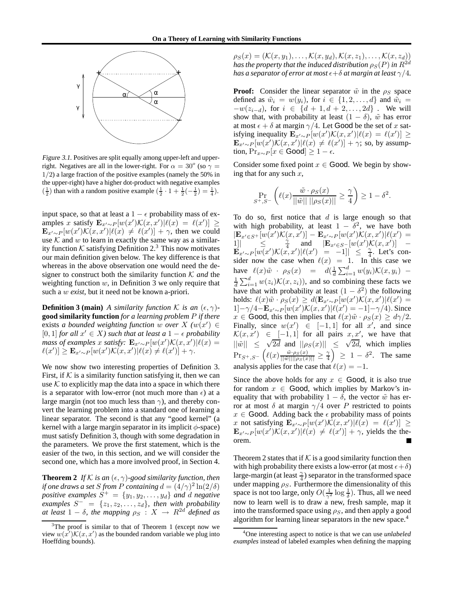

Figure 3.1. Positives are split equally among upper-left and upperright. Negatives are all in the lower-right. For  $\alpha = 30^{\circ}$  (so  $\gamma =$ 1/2) a large fraction of the positive examples (namely the 50% in the upper-right) have a higher dot-product with negative examples  $\left(\frac{1}{2}\right)$  than with a random positive example  $\left(\frac{1}{2}\cdot1+\frac{1}{2}\left(-\frac{1}{2}\right)=\frac{1}{4}\right)$ .

input space, so that at least a  $1 - \epsilon$  probability mass of examples x satisfy  $\mathbf{E}_{x'\sim P}[w(x')\mathcal{K}(x,x')|\ell(x) = \ell(x')] \ge$  $\mathbf{E}_{x'\sim P}[w(x')\mathcal{K}(x,x')|\ell(x) \neq \ell(x')] + \gamma$ , then we could use  $K$  and  $w$  to learn in exactly the same way as a similarity function K satisfying Definition 2.<sup>3</sup> This now motivates our main definition given below. The key difference is that whereas in the above observation one would need the designer to construct both the similarity function  $K$  *and* the weighting function  $w$ , in Definition 3 we only require that such a w *exist*, but it need not be known a-priori.

**Definition 3 (main)** *A similarity function K is an*  $(\epsilon, \gamma)$ **good similarity function** *for a learning problem* P *if there* exists *a bounded weighting function* w *over*  $X$   $(w(x')) \in$ [0, 1] *for all*  $x' \in X$ *)* such that at least a 1 −  $\epsilon$  probability *mass of examples* x *satisfy*:  $\mathbf{E}_{x'\sim P}[w(x')\mathcal{K}(x,x')|\ell(x)$  =  $\ell(x')$ ]  $\geq \mathbf{E}_{x'\sim P} [w(x')\mathcal{K}(x,x')|\ell(x) \neq \ell(x')] + \gamma.$ 

We now show two interesting properties of Definition 3. First, if  $K$  is a similarity function satisfying it, then we can use  $K$  to explicitly map the data into a space in which there is a separator with low-error (not much more than  $\epsilon$ ) at a large margin (not too much less than  $\gamma$ ), and thereby convert the learning problem into a standard one of learning a linear separator. The second is that any "good kernel" (a kernel with a large margin separator in its implicit  $\phi$ -space) must satisfy Definition 3, though with some degradation in the parameters. We prove the first statement, which is the easier of the two, in this section, and we will consider the second one, which has a more involved proof, in Section 4.

**Theorem 2** *If*  $K$  *is an*  $(\epsilon, \gamma)$ *-good similarity function, then if one draws a set S from P containing*  $d = (4/\gamma)^2 \ln(2/\delta)$ *positive examples*  $S^+ = \{y_1, y_2, \ldots, y_d\}$  *and d negative examples*  $S^- = \{z_1, z_2, \ldots, z_d\}$ *, then with probability at least*  $1 - \delta$ *, the mapping*  $\rho_S : X \to R^{2d}$  *defined as* 

 $\rho_S(x) = (\mathcal{K}(x, y_1), \ldots, \mathcal{K}(x, y_d), \mathcal{K}(x, z_1), \ldots, \mathcal{K}(x, z_d))$ *has the property that the induced distribution*  $\rho_S(P)$  *in*  $R^{2d}$ *has a separator of error at most*  $\epsilon + \delta$  *at margin at least*  $\gamma/4$ *.* 

**Proof:** Consider the linear separator  $\tilde{w}$  in the  $\rho_S$  space defined as  $\tilde{w}_i = w(y_i)$ , for  $i \in \{1, 2, ..., d\}$  and  $\tilde{w}_i =$  $-w(z_{i-d})$ , for  $i \in \{d+1, d+2, ..., 2d\}$ . We will show that, with probability at least  $(1 - \delta)$ ,  $\tilde{w}$  has error at most  $\epsilon + \delta$  at margin  $\gamma/4$ . Let Good be the set of x satisfying inequality  $\mathbf{E}_{x'\sim P}[w(x')\mathcal{K}(x,x')|\ell(x) = \ell(x')] \ge$  $\mathbf{E}_{x'\sim P}[w(x')\mathcal{K}(x,x')] \ell(x) \neq \ell(x')] + \gamma$ ; so, by assumption, Pr<sub>x∼P</sub> [ $x \in$  Good] ≥ 1 –  $\epsilon$ .

Consider some fixed point  $x \in \text{Good}$ . We begin by showing that for any such  $x$ ,

$$
\Pr_{S^+,S^-}\left(\ell(x)\frac{\tilde{w}\cdot\rho_S(x)}{||\tilde{w}||\;||\rho_S(x)||} \ge \frac{\gamma}{4}\right) \ge 1-\delta^2.
$$

To do so, first notice that  $d$  is large enough so that with high probability, at least  $1 - \delta^2$ , we have both  $\left[\mathbf{E}_{x'\in S^+}[w(x')\mathcal{K}(x,x')] - \mathbf{E}_{x'\sim P}[w(x')\mathcal{K}(x,x')|\ell(x')\right] =$  $\left[1\right]$   $\leq$   $\frac{\gamma}{4}$  and  $\left[\mathbf{E}_{x'\in S^-}[w(x')\mathcal{K}(x,x')] \right]$  –  $\mathbf{E}_{x'\sim P}[w(x')\mathcal{K}(x,x')|\ell(x')]=$  -1] $\leq$  4. Let's consider now the case when  $\ell(x) = 1$ . In this case we have  $\ell(x)\tilde{w} \cdot \rho_S(x) = d(\frac{1}{d}\sum_{i=1}^d w(y_i))\mathcal{K}(x, y_i) \frac{1}{d} \sum_{i=1}^{d} w(z_i) \mathcal{K}(x, z_i)$ , and so combining these facts we have that with probability at least  $(1 - \delta^2)$  the following holds:  $\ell(x)\tilde{w} \cdot \rho_S(x) \geq d(\mathbf{E}_{x' \sim P}[w(x')\mathcal{K}(x,x')|\ell(x') =$ 1]−γ/4− ${\bf E}_{x'\sim P}[w(x')\mathcal{K}(x,x')] \ell(x') = -1]-\gamma/4$ ). Since  $x \in$  Good, this then implies that  $\ell(x) \tilde{w} \cdot \rho_S(x) \geq d\gamma/2$ . Finally, since  $w(x') \in [-1, 1]$  for all x', and since  $\mathcal{K}(x, x') \in [-1, 1]$  for all pairs  $x, x'$ , we have that  $\|\tilde{w}\|$   $\leq \sqrt{2d}$  and  $\|\rho_S(x)\|$   $\leq \sqrt{2d}$ , which implies  $\Pr_{S^+, S^-}\left(\ell(x)\frac{\tilde{w}\cdot \rho_S(x)}{||\tilde{w}|| ||\rho_S(x)||} \geq \frac{\gamma}{4}\right) \geq 1 - \delta^2$ . The same analysis applies for the case that  $\ell(x) = -1$ .

Since the above holds for any  $x \in \text{Good}$ , it is also true for random  $x \in$  Good, which implies by Markov's inequality that with probability  $1 - \delta$ , the vector  $\tilde{w}$  has error at most δ at margin  $\gamma/4$  over P restricted to points  $x \in$  Good. Adding back the  $\epsilon$  probability mass of points x not satisfying  $\mathbf{E}_{x'\sim P} [w(x')\hat{\mathcal{K}}(x,x')|\ell(x) = \ell(x')] \ge$  $\mathbf{E}_{x'\sim P}[w(x')\mathcal{K}(x,x')|\ell(x) \neq \ell(x')] + \gamma$ , yields the theorem.

Theorem 2 states that if  $K$  is a good similarity function then with high probability there exists a low-error (at most  $\epsilon + \delta$ ) large-margin (at least  $\frac{\gamma}{4}$ ) separator in the transformed space under mapping  $\rho_S$ . Furthermore the dimensionality of this space is not too large, only  $O(\frac{1}{\gamma^2} \log \frac{1}{\delta})$ . Thus, all we need now to learn well is to draw a new, fresh sample, map it into the transformed space using  $\rho_S$ , and then apply a good algorithm for learning linear separators in the new space.<sup>4</sup>

The proof is similar to that of Theorem 1 (except now we view  $w(x')\mathcal{K}(x, x')$  as the bounded random variable we plug into Hoeffding bounds).

<sup>4</sup>One interesting aspect to notice is that we can use *unlabeled examples* instead of labeled examples when defining the mapping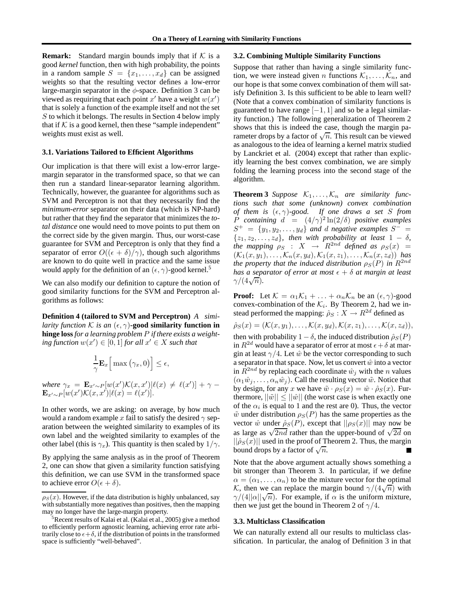**Remark:** Standard margin bounds imply that if  $K$  is a good *kernel* function, then with high probability, the points in a random sample  $S = \{x_1, \ldots, x_d\}$  can be assigned weights so that the resulting vector defines a low-error large-margin separator in the  $\phi$ -space. Definition 3 can be viewed as requiring that each point  $x'$  have a weight  $w(x')$ that is solely a function of the example itself and not the set S to which it belongs. The results in Section 4 below imply that if  $K$  is a good kernel, then these "sample independent" weights must exist as well.

### **3.1. Variations Tailored to Efficient Algorithms**

Our implication is that there will exist a low-error largemargin separator in the transformed space, so that we can then run a standard linear-separator learning algorithm. Technically, however, the guarantee for algorithms such as SVM and Perceptron is not that they necessarily find the *minimum-error* separator on their data (which is NP-hard) but rather that they find the separator that minimizes the *total distance* one would need to move points to put them on the correct side by the given margin. Thus, our worst-case guarantee for SVM and Perceptron is only that they find a separator of error  $O((\epsilon + \delta)/\gamma)$ , though such algorithms are known to do quite well in practice and the same issue would apply for the definition of an  $(\epsilon, \gamma)$ -good kernel.<sup>5</sup>

We can also modify our definition to capture the notion of good similarity functions for the SVM and Perceptron algorithms as follows:

**Definition 4 (tailored to SVM and Perceptron)** *A similarity function*  $K$  *is an*  $(\epsilon, \gamma)$ -good similarity function in **hinge loss** *for a learning problem* P *if there exists a weight-* $\log$  *function*  $w(x') \in [0, 1]$  *for all*  $x' \in X$  *such that* 

$$
\frac{1}{\gamma} \mathbf{E}_x \Big[ \max \big( \gamma_x, 0 \big) \Big] \le \epsilon,
$$

*where*  $\gamma_x = \mathbf{E}_{x' \sim P}[w(x')\mathcal{K}(x, x')] \ell(x) \neq \ell(x')] + \gamma \mathbf{E}_{x'\sim P}[\overline{w}(x')\mathcal{K}(x,x')|\ell(x) = \ell(x')]$ .

In other words, we are asking: on average, by how much would a random example x fail to satisfy the desired  $\gamma$  separation between the weighted similarity to examples of its own label and the weighted similarity to examples of the other label (this is  $\gamma_x$ ). This quantity is then scaled by  $1/\gamma$ .

By applying the same analysis as in the proof of Theorem 2, one can show that given a similarity function satisfying this definition, we can use SVM in the transformed space to achieve error  $O(\epsilon + \delta)$ .

### **3.2. Combining Multiple Similarity Functions**

Suppose that rather than having a single similarity function, we were instead given n functions  $\mathcal{K}_1, \ldots, \mathcal{K}_n$ , and our hope is that some convex combination of them will satisfy Definition 3. Is this sufficient to be able to learn well? (Note that a convex combination of similarity functions is guaranteed to have range  $[-1, 1]$  and so be a legal similarity function.) The following generalization of Theorem 2 shows that this is indeed the case, though the margin parameter drops by a factor of  $\sqrt{n}$ . This result can be viewed as analogous to the idea of learning a kernel matrix studied by Lanckriet et al. (2004) except that rather than explicitly learning the best convex combination, we are simply folding the learning process into the second stage of the algorithm.

**Theorem 3** *Suppose*  $K_1, \ldots, K_n$  *are similarity functions such that some (unknown) convex combination of them is* (, γ)*-good. If one draws a set* S *from* P *containing*  $d = (4/\gamma)^2 \ln(2/\delta)$  *positive examples*  $S^+ = \{y_1, y_2, \ldots, y_d\}$  and d negative examples  $S^- =$  $\{z_1, z_2, \ldots, z_d\}$ *, then with probability at least*  $1 - \delta$ *, the mapping*  $\rho_S$  :  $X \rightarrow R^{2nd}$  *defined as*  $\rho_S(x) =$  $(\mathcal{K}_1(x,y_1),\ldots,\mathcal{K}_n(x,y_d),\mathcal{K}_1(x,z_1),\ldots,\mathcal{K}_n(x,z_d))$  has *the property that the induced distribution*  $\rho_S(P)$  *in*  $R^{2nd}$ *has a separator of error at most*  $\epsilon + \delta$  *at margin at least*  $\frac{n}{\gamma/(4\sqrt{n})}$ .

**Proof:** Let  $K = \alpha_1 K_1 + \ldots + \alpha_n K_n$  be an  $(\epsilon, \gamma)$ -good convex-combination of the  $\mathcal{K}_i$ . By Theorem 2, had we instead performed the mapping:  $\hat{\rho}_S : X \to \mathbb{R}^{2d}$  defined as

 $\hat{\rho}_S(x) = (\mathcal{K}(x, y_1), \dots, \mathcal{K}(x, y_d), \mathcal{K}(x, z_1), \dots, \mathcal{K}(x, z_d)),$ then with probability  $1 - \delta$ , the induced distribution  $\hat{\rho}_S(P)$ in  $R^{2d}$  would have a separator of error at most  $\epsilon + \delta$  at margin at least  $\gamma/4$ . Let  $\hat{w}$  be the vector corresponding to such a separator in that space. Now, let us convert  $\hat{w}$  into a vector in  $\overline{R}^{2nd}$  by replacing each coordinate  $\hat{w}_i$  with the n values  $(\alpha_1\hat{w}_1,\ldots,\alpha_n\hat{w}_i)$ . Call the resulting vector  $\tilde{w}$ . Notice that by design, for any x we have  $\tilde{w} \cdot \rho_S(x) = \hat{w} \cdot \hat{\rho}_S(x)$ . Furthermore,  $||\tilde{w}|| \le ||\hat{w}||$  (the worst case is when exactly one of the  $\alpha_i$  is equal to 1 and the rest are 0). Thus, the vector  $\tilde{w}$  under distribution  $\rho_S(P)$  has the same properties as the vector  $\hat{w}$  under  $\hat{\rho}_S(P)$ , except that  $||\rho_S(x)||$  may now be as large as  $\sqrt{2nd}$  rather than the upper-bound of  $\sqrt{2d}$  on  $||\hat{\rho}_S(x)||$  used in the proof of Theorem 2. Thus, the margin bound drops by a factor of  $\sqrt{n}$ .

Note that the above argument actually shows something a bit stronger than Theorem 3. In particular, if we define  $\alpha = (\alpha_1, \dots, \alpha_n)$  to be the mixture vector for the optimal K, then we can replace the margin bound  $\gamma/(4\sqrt{n})$  with  $γ/(4||α||√n)$ . For example, if  $α$  is the uniform mixture, then we just get the bound in Theorem 2 of  $\gamma/4$ .

#### **3.3. Multiclass Classification**

We can naturally extend all our results to multiclass classification. In particular, the analog of Definition 3 in that

 $\rho_S(x)$ . However, if the data distribution is highly unbalanced, say with substantially more negatives than positives, then the mapping may no longer have the large-margin property.

 ${}^{5}$ Recent results of Kalai et al. (Kalai et al., 2005) give a method to efficiently perform agnostic learning, achieving error rate arbitrarily close to  $\epsilon + \delta$ , if the distribution of points in the transformed space is sufficiently "well-behaved".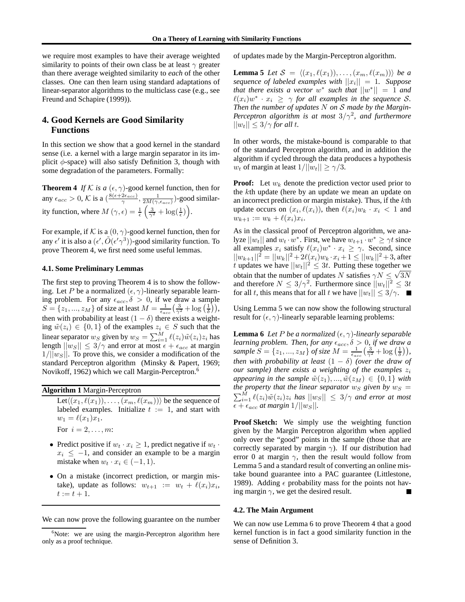we require most examples to have their average weighted similarity to points of their own class be at least  $\gamma$  greater than there average weighted similarity to *each* of the other classes. One can then learn using standard adaptations of linear-separator algorithms to the multiclass case (e.g., see Freund and Schapire (1999)).

# **4. Good Kernels are Good Similarity Functions**

In this section we show that a good kernel in the standard sense (i.e. a kernel with a large margin separator in its implicit  $\phi$ -space) will also satisfy Definition 3, though with some degradation of the parameters. Formally:

**Theorem 4** *If*  $K$  *is a*  $(\epsilon, \gamma)$ -good kernel function, then for any  $\epsilon_{acc} > 0$ , K is a  $\left(\frac{8(\epsilon+2\epsilon_{acc})}{\gamma}\right)$  $\frac{2\epsilon_{acc}}{\gamma}, \frac{1}{2M(\gamma, \epsilon_{acc})})$ -good similarity function, where  $M(\gamma, \epsilon) = \frac{1}{\epsilon} \left( \frac{3}{\gamma^2} + \log(\frac{1}{\epsilon}) \right)$ .

For example, if K is a  $(0, \gamma)$ -good kernel function, then for any  $\epsilon'$  it is also a  $(\epsilon', \tilde{O}(\epsilon' \gamma^3))$ -good similarity function. To prove Theorem 4, we first need some useful lemmas.

#### **4.1. Some Preliminary Lemmas**

The first step to proving Theorem 4 is to show the following. Let P be a normalized  $(\epsilon, \gamma)$ -linearly separable learning problem. For any  $\epsilon_{acc}$ ,  $\delta > 0$ , if we draw a sample  $S = \{z_1, ..., z_M\}$  of size at least  $M = \frac{1}{\epsilon_{acc}} \left(\frac{3}{\gamma^2} + \log\left(\frac{1}{\delta}\right)\right),$ then with probability at least  $(1 - \delta)$  there exists a weighting  $\tilde{w}(z_i) \in \{0,1\}$  of the examples  $z_i \in S$  such that the linear separator  $w_S$  given by  $w_S = \sum_{i=1}^M \ell(z_i) \tilde{w}(z_i) z_i$  has length  $||w_S|| \le 3/\gamma$  and error at most  $\epsilon + \epsilon_{acc}$  at margin  $1/||w_S||$ . To prove this, we consider a modification of the standard Perceptron algorithm (Minsky & Papert, 1969; Novikoff, 1962) which we call Margin-Perceptron.<sup>6</sup>

| <b>Algorithm 1 Margin-Perceptron</b> |  |  |  |  |  |  |
|--------------------------------------|--|--|--|--|--|--|
|--------------------------------------|--|--|--|--|--|--|

Let $\langle (x_1, \ell(x_1)), \ldots, (x_m, \ell(x_m)) \rangle$  be the sequence of labeled examples. Initialize  $t := 1$ , and start with  $w_1 = \ell(x_1)x_1.$ For  $i = 2, \ldots, m$ :

- 
- Predict positive if  $w_t \cdot x_i \geq 1$ , predict negative if  $w_t \cdot x_i$  $x_i \leq -1$ , and consider an example to be a margin mistake when  $w_t \cdot x_i \in (-1, 1)$ .
- On a mistake (incorrect prediction, or margin mistake), update as follows:  $w_{t+1} := w_t + \ell(x_i)x_i$ ,  $t := t + 1.$

We can now prove the following guarantee on the number

of updates made by the Margin-Perceptron algorithm.

**Lemma 5** *Let*  $S = \langle (x_1, \ell(x_1)), \ldots, (x_m, \ell(x_m)) \rangle$  *be a sequence of labeled examples with*  $||x_i|| = 1$ *. Suppose that there exists a vector*  $w^*$  *such that*  $||w^*|| = 1$  *and*  $\ell(x_i)w^* \cdot x_i \geq \gamma$  *for all examples in the sequence* S. *Then the number of updates* N *on* S *made by the Margin-Perceptron algorithm is at most*  $3/\gamma^2$ , and furthermore  $||w_t|| \leq 3/\gamma$  *for all t.* 

In other words, the mistake-bound is comparable to that of the standard Perceptron algorithm, and in addition the algorithm if cycled through the data produces a hypothesis  $w_t$  of margin at least  $1/||w_t|| \geq \gamma/3$ .

**Proof:** Let  $w_k$  denote the prediction vector used prior to the kth update (here by an update we mean an update on an incorrect prediction or margin mistake). Thus, if the  $k$ th update occurs on  $(x_i, \ell(x_i))$ , then  $\ell(x_i)w_k \cdot x_i < 1$  and  $w_{k+1} := w_k + \ell(x_i)x_i.$ 

As in the classical proof of Perceptron algorithm, we analyze  $||w_t||$  and  $w_t \cdot w^*$ . First, we have  $w_{t+1} \cdot w^* \geq \gamma t$  since all examples  $x_i$  satisfy  $\ell(x_i)w^* \cdot x_i \ge \gamma$ . Second, since  $||w_{k+1}||^2 = ||w_k||^2 + 2\ell(x_i)w_k \cdot x_i + 1 \leq ||w_k||^2 + 3$ , after t updates we have  $||w_t||^2 \le 3t$ . Putting these together we obtain that the number of updates N satisfies  $\gamma N \leq \sqrt{3N}$ and therefore  $N \leq 3/\gamma^2$ . Furthermore since  $||w_t||^2 \leq 3t$ for all t, this means that for all t we have  $||w_t|| \leq 3/\gamma$ .

Using Lemma 5 we can now show the following structural result for  $(\epsilon, \gamma)$ -linearly separable learning problems:

**Lemma 6** *Let P be a normalized*  $(\epsilon, \gamma)$ *-linearly separable learning problem. Then, for any*  $\epsilon_{acc}$ ,  $\delta > 0$ , *if we draw a sample*  $S = \{z_1, ..., z_M\}$  *of size*  $M = \frac{1}{\epsilon_{acc}} \left(\frac{3}{\gamma^2} + \log\left(\frac{1}{\delta}\right)\right)$ , *then with probability at least*  $(1 - \delta)$  *(over the draw of our sample) there exists a weighting of the examples*  $z_i$ *appearing in the sample*  $\tilde{w}(z_1), ..., \tilde{w}(z_M) \in \{0, 1\}$  *with the property that the linear separator*  $w_S$  *given by*  $w_S$  =  $\sum_{i=1}^{M} \ell(z_i) \tilde{w}(z_i) z_i$  *has*  $||w_S|| \leq 3/\gamma$  *and error at most*  $\epsilon + \epsilon_{acc}$  *at margin*  $1/||w_S||$ *.* 

**Proof Sketch:** We simply use the weighting function given by the Margin Perceptron algorithm when applied only over the "good" points in the sample (those that are correctly separated by margin  $\gamma$ ). If our distribution had error 0 at margin  $\gamma$ , then the result would follow from Lemma 5 and a standard result of converting an online mistake bound guarantee into a PAC guarantee (Littlestone, 1989). Adding  $\epsilon$  probability mass for the points not having margin  $\gamma$ , we get the desired result.

#### **4.2. The Main Argument**

We can now use Lemma 6 to prove Theorem 4 that a good kernel function is in fact a good similarity function in the sense of Definition 3.

 $6$ Note: we are using the margin-Perceptron algorithm here only as a proof technique.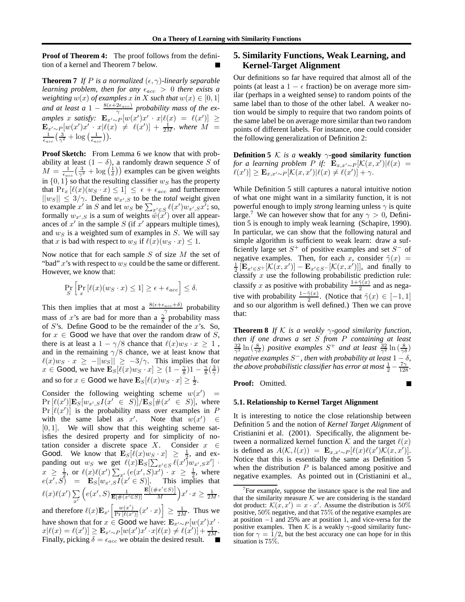**Proof of Theorem 4:** The proof follows from the definition of a kernel and Theorem 7 below.

**Theorem 7** *If P is a normalized*  $(\epsilon, \gamma)$ *-linearly separable learning problem, then for any*  $\epsilon_{acc} > 0$  *there exists a weighting*  $w(x)$  *of examples* x *in* X *such that*  $w(x) \in [0, 1]$ and at least a  $1 - \frac{8(\epsilon + 2\epsilon_{acc})}{\gamma}$  probability mass of the examples x satisfy:  $\mathbf{E}_{x' \sim P} [w(x')x' \cdot x] \ell(x) = \ell(x')] \ge$  $\mathbf{E}_{x'\sim P} [w(x')x^{\gamma} \cdot x|\ell(x) \neq \ell(x')] + \frac{1}{2M}$ , where  $\hat{M} = \frac{1}{\epsilon_{acc}} (\frac{3}{\gamma^2} + \log(\frac{1}{\epsilon_{acc}})).$ 

**Proof Sketch:** From Lemma 6 we know that with probability at least  $(1 - \delta)$ , a randomly drawn sequence S of  $M = \frac{1}{\epsilon_{acc}} \left( \frac{3}{\gamma^2} + \log \left( \frac{1}{\delta} \right) \right)$  examples can be given weights in  $\{0, 1\}$  so that the resulting classifier  $w_S$  has the property that  $Pr_x [\ell(x)(w_S \cdot x) \leq 1] \leq \epsilon + \epsilon_{acc}$  and furthermore  $||w_S|| \leq 3/\gamma$ . Define  $w_{x',S}$  to be the *total* weight given to example x' in S and let  $w_S$  be  $\sum_{x' \in S} \ell(x') w_{x',S} x'$ ; so, formally  $w_{x',S}$  is a sum of weights  $\tilde{w}(\tilde{x}')$  over all appearances of  $x'$  in the sample  $S$  (if  $x'$  appears multiple times), and  $w_S$  is a weighted sum of examples in  $S$ . We will say that x is bad with respect to  $w_S$  if  $\ell(x)(w_S \cdot x) \leq 1$ .

Now notice that for each sample  $S$  of size  $M$  the set of "bad"  $x$ 's with respect to  $w_S$  could be the same or different. However, we know that:

$$
\Pr_{S} \left[ \Pr_{x} \left[ \ell(x) (w_S \cdot x) \le 1 \right] \ge \epsilon + \epsilon_{acc} \right] \le \delta.
$$

This then implies that at most a  $\frac{8(\epsilon+\epsilon_{acc}+\delta)}{\gamma}$  probability mass of x's are bad for more than a  $\frac{\gamma}{8}$  probability mass of  $S$ 's. Define Good to be the remainder of the  $x$ 's. So, for  $x \in \text{Good}$  we have that over the random draw of S, there is at least a  $1 - \gamma/8$  chance that  $\ell(x)w_S \cdot x \geq 1$ , and in the remaining  $\gamma/8$  chance, we at least know that  $\ell(x)w_S \cdot x \ge -||w_S|| \ge -3/\gamma$ . This implies that for  $x \in \text{Good}, \text{ we have } \mathbf{E}_S[\ell(x)w_S \cdot x] \geq (1 - \frac{\gamma}{8})1 - \frac{\gamma}{8}(\frac{3}{\gamma})$ and so for  $x \in \text{Good}$  we have  $\mathbf{E}_{S}[\ell(x)w_{S} \cdot x] \geq \frac{1}{2}$ .

Consider the following weighting scheme  $w(x') =$  $\Pr\left[\ell(x')\right] \mathbf{E}_S[w_{x',S}I(x' \in S)] / \mathbf{E}_S[\#(x' \in S)]$ , where  $Pr[\ell(x')]$  is the probability mass over examples in P with the same label as  $x'$ Note that  $w(x') \in$  $[0, 1]$ . We will show that this weighting scheme satisfies the desired property and for simplicity of notation consider a discrete space X. Consider  $x \in$ Good. We know that  $\mathbf{E}_{S}[\ell(x)w_S \cdot x] \geq \frac{1}{2}$ , and exbood. We know that  $E_S[c(x)dx - x] \geq c_3$  and  $E_S$ <br>panding out  $w_S$  we get  $\ell(x)E_S[\sum_{x' \in S} \ell(x')w_{x',S}x']$ .  $x \ge \frac{1}{2}$ , or  $\ell(x)\ell(x')\sum_{x'} (e(x',S)x') - x \ge \frac{1}{2}$ , where  $e(x', S)$  =  $\mathbf{E}_S[w_{x',S}I(x' \in S)]$ . This implies that  $\ell(x)\ell(x')\sum$  $\overline{x'}$  $\left(e(x',S)\frac{1}{\mathbf{E}[\#(x'\in S)]}\right)$  $\mathbf{E}[(\#x'\in S)]$  $\frac{x' \in S)}{M}$   $x' \cdot x \geq \frac{1}{2M}$ , and therefore  $\ell(x) \mathbf{E}_{x'}\left[\frac{w(x')}{\Pr[\ell(x')]}(x' \cdot x)\right] \ge \frac{1}{2M}$ . Thus we

have shown that for  $x \in \text{Good}$  we have:  $\mathbf{E}_{x' \sim P} [w(x')x']$ .  $x[\ell(x) = \ell(x')] \geq {\bf E}_{x' \sim P} [w(x')x' \cdot x] \ell(x) \neq \ell(x')] + \frac{1}{2M}.$ Finally, picking  $\delta = \epsilon_{acc}$  we obtain the desired result.  $\blacksquare$ 

# **5. Similarity Functions, Weak Learning, and Kernel-Target Alignment**

Our definitions so far have required that almost all of the points (at least a  $1 - \epsilon$  fraction) be on average more similar (perhaps in a weighted sense) to random points of the same label than to those of the other label. A weaker notion would be simply to require that two random points of the same label be on average more similar than two random points of different labels. For instance, one could consider the following generalization of Definition 2:

**Definition 5** K *is a* **weakly**  $\gamma$ **-good similarity function** *for a learning problem*  $P$  *if:*  $\mathbf{E}_{x,x'\sim P}[\mathcal{K}(x,x')|\ell(x)]$  $[\ell(x')] \geq \mathbf{E}_{x,x'\sim P}[\mathcal{K}(x,x')|\ell(x) \neq \ell(x')] + \gamma.$ 

While Definition 5 still captures a natural intuitive notion of what one might want in a similarity function, it is not powerful enough to imply *strong* learning unless  $\gamma$  is quite large.<sup>7</sup> We can however show that for any  $\gamma > 0$ , Definition 5 is enough to imply weak learning (Schapire, 1990). In particular, we can show that the following natural and simple algorithm is sufficient to weak learn: draw a sufficiently large set  $S^+$  of positive examples and set  $S^-$  of negative examples. Then, for each x, consider  $\tilde{\gamma}(x)$  =  $\frac{1}{2} \left[ \mathbf{E}_{x' \in S^+}[\mathcal{K}(x,x')] - \mathbf{E}_{x' \in S^-}[\mathcal{K}(x,x')] \right]$ , and finally to classify  $x$  use the following probabilistic prediction rule: classify x as positive with probability  $\frac{1+\tilde{\gamma}(x)}{2}$  and as negative with probability  $\frac{1-\tilde{\gamma}(x)}{2}$ . (Notice that  $\tilde{\gamma}(x) \in [-1,1]$ and so our algorithm is well defined.) Then we can prove that:

**Theorem 8** *If*  $K$  *is a weakly*  $\gamma$ -good similarity function, *then if one draws a set* S *from* P *containing at least*  $\frac{32}{\gamma^2} \ln \left( \frac{8}{\gamma \delta} \right)$  *positive examples*  $S^+$  *and at least*  $\frac{32}{\gamma^2} \ln \left( \frac{8}{\gamma \delta} \right)$ *negative examples*  $S^-$ , then with probability at least  $1-\delta$ , the above probabilistic classifier has error at most  $\frac{1}{2} - \frac{7\gamma}{128}$ .

П

**Proof:** Omitted.

#### **5.1. Relationship to Kernel Target Alignment**

It is interesting to notice the close relationship between Definition 5 and the notion of *Kernel Target Alignment* of Cristianini et al. (2001). Specifically, the alignment between a normalized kernel function K and the target  $\ell(x)$ is defined as  $A(\mathcal{K}, l(x)) = \mathbf{E}_{x,x'\sim P}[\ell(x)\ell(x')\kappa(x,x')]$ . Notice that this is essentially the same as Definition 5 when the distribution  $P$  is balanced among positive and negative examples. As pointed out in (Cristianini et al.,

 $7$  For example, suppose the instance space is the real line and that the similarity measure  $K$  we are considering is the standard dot product:  $\mathcal{K}(x, x') = x \cdot x'$ . Assume the distribution is 50% positive, 50% negative, and that 75% of the negative examples are at position −1 and 25% are at position 1, and vice-versa for the positive examples. Then K is a weakly  $\gamma$ -good similarity function for  $\gamma = 1/2$ , but the best accuracy one can hope for in this situation is 75%.